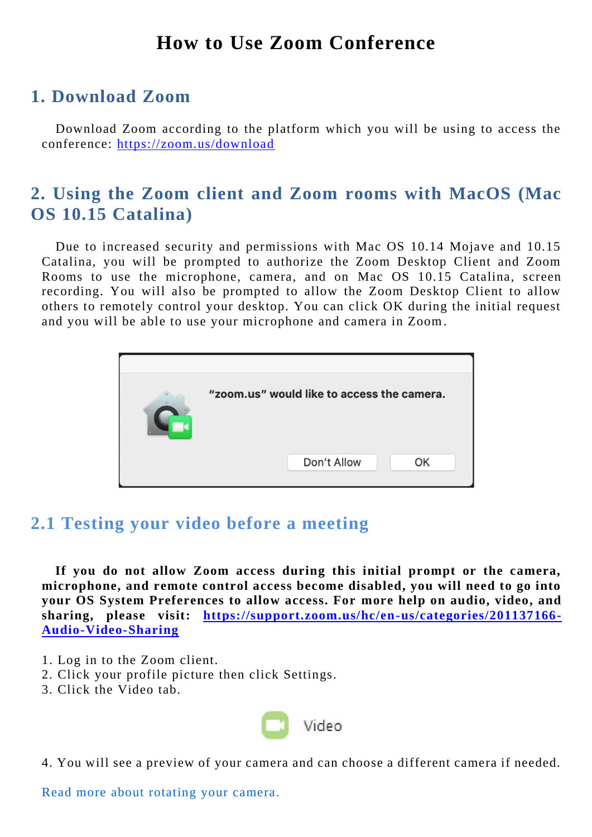## **How to Use Zoom Conference**

## **1. Download Zoom**

Download Zoom according to the platform which you will be using to access the conference: <https://zoom.us/download>

## **2. Using the Zoom client and Zoom rooms with MacOS (Mac OS 10.15 Catalina)**

Due to increased security and permissions with Mac OS 10.14 Mojave and 10.15 Catalina, you will be prompted to authorize the Zoom Desktop Client and Zoom Rooms to use the microphone, camera, and on Mac OS 10.15 Catalina, screen recording. You will also be prompted to allow the Zoom Desktop Client to allow others to remotely control your desktop. You can click OK during the initial request and you will be able to use your microphone and camera in Zoom.

| "zoom.us" would like to access the camera. |    |
|--------------------------------------------|----|
| Don't Allow                                | OK |

### **2.1 Testing your video before a meeting**

**If you do not allow Zoom access during this initial prompt or the camera, microphone, and remote control access become disabled, you will need to go into your OS System Preferences to allow access. For more help on audio, video, and sharing, please visit: [https://support.zoom.us/hc/en-us/categories/201137166-](https://support.zoom.us/hc/en-us/categories/201137166-Audio-Video-Sharing) [Audio-Video-Sharing](https://support.zoom.us/hc/en-us/categories/201137166-Audio-Video-Sharing)**

- 1. Log in to the Zoom client.
- 2. Click your profile picture then click Settings.
- 3. Click the Video tab.



4. You will see a preview of your camera and can choose a different camera if needed.

Read more about rotating your camera.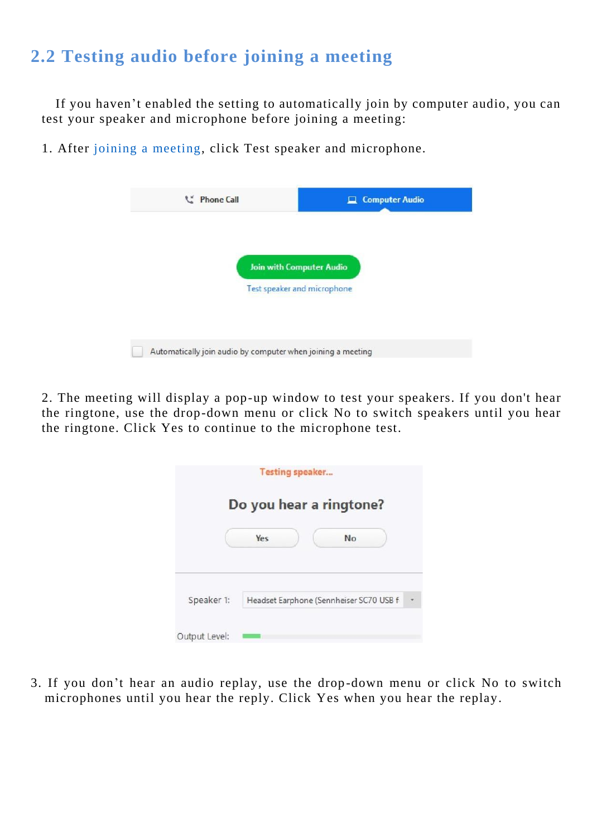# **2.2 Testing audio before joining a meeting**

If you haven't enabled the setting to automatically join by computer audio, you can test your speaker and microphone before joining a meeting:

1. After joining a meeting, click Test speaker and microphone.

| <b>Computer Audio</b>           |
|---------------------------------|
|                                 |
| <b>Join with Computer Audio</b> |
| Test speaker and microphone     |
|                                 |
|                                 |

2. The meeting will display a pop-up window to test your speakers. If you don't hear the ringtone, use the drop-down menu or click No to switch speakers until you hear the ringtone. Click Yes to continue to the microphone test.

|                         |            | <b>Testing speaker</b>                  |    |  |  |
|-------------------------|------------|-----------------------------------------|----|--|--|
| Do you hear a ringtone? |            |                                         |    |  |  |
|                         | <b>Yes</b> |                                         | No |  |  |
| Speaker 1:              |            | Headset Earphone (Sennheiser SC70 USB f |    |  |  |
| Output Level:           |            |                                         |    |  |  |

3. If you don't hear an audio replay, use the drop-down menu or click No to switch microphones until you hear the reply. Click Yes when you hear the replay.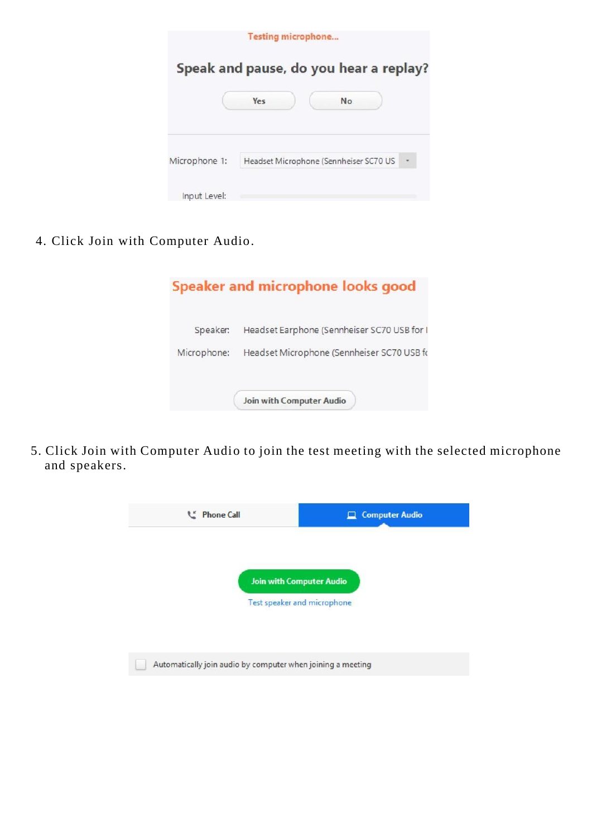|               | <b>Testing microphone</b>              |
|---------------|----------------------------------------|
|               | Speak and pause, do you hear a replay? |
|               | No<br>Yes                              |
| Microphone 1: | Headset Microphone (Sennheiser SC70 US |
| Input Level:  |                                        |

4. Click Join with Computer Audio.

|             | Speaker and microphone looks good           |
|-------------|---------------------------------------------|
| Speaker:    | Headset Earphone (Sennheiser SC70 USB for I |
| Microphone: | Headset Microphone (Sennheiser SC70 USB fo  |
|             | Join with Computer Audio                    |

5. Click Join with Computer Audio to join the test meeting with the selected microphone and speakers.

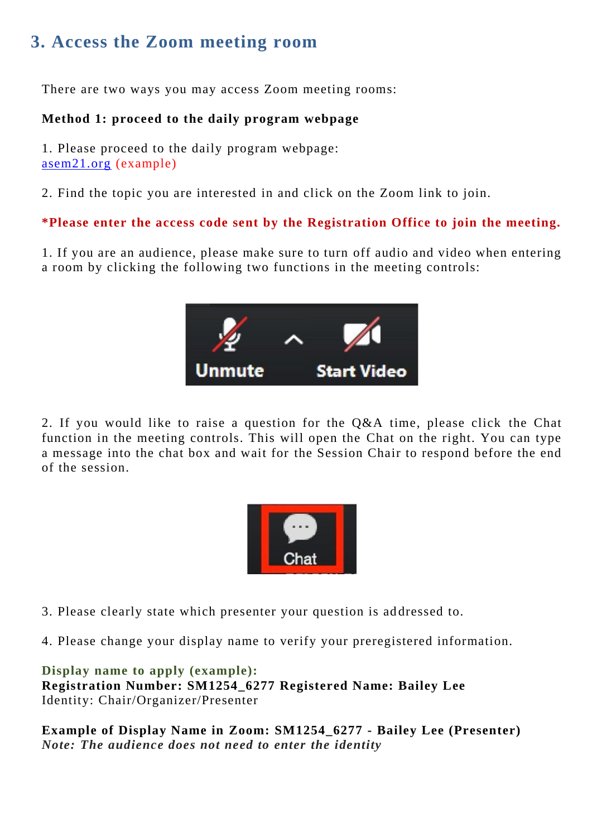## **3. Access the Zoom meeting room**

There are two ways you may access Zoom meeting rooms:

### **Method 1: proceed to the daily program webpage**

1. Please proceed to the daily program webpage: asem21.org (example)

2. Find the topic you are interested in and click on the Zoom link to join.

**\*Please enter the access code sent by the Registration Office to join the meeting.**

1. If you are an audience, please make sure to turn off audio and video when entering a room by clicking the following two functions in the meeting controls:



2. If you would like to raise a question for the Q&A time, please click the Chat function in the meeting controls. This will open the Chat on the right. You can type a message into the chat box and wait for the Session Chair to respond before the end of the session.



3. Please clearly state which presenter your question is ad dressed to.

4. Please change your display name to verify your preregistered information.

**Display name to apply (example): Registration Number: SM1254\_6277 Registered Name: Bailey Lee**  Identity: Chair/Organizer/Presenter

**Example of Display Name in Zoom: SM1254\_6277 - Bailey Lee (Presenter)** *Note: The audience does not need to enter the identity*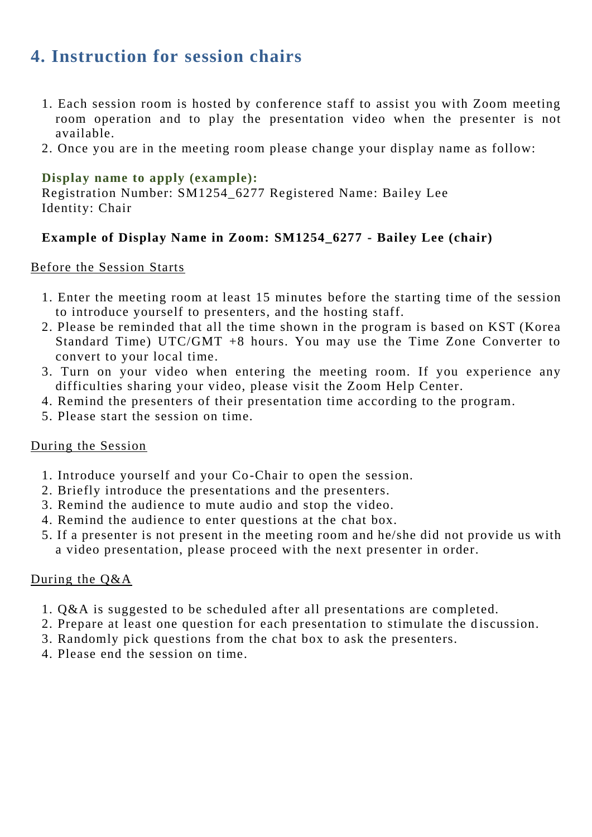## **4. Instruction for session chairs**

- 1. Each session room is hosted by conference staff to assist you with Zoom meeting room operation and to play the presentation video when the presenter is not available.
- 2. Once you are in the meeting room please change your display name as follow:

### **Display name to apply (example):**

Registration Number: SM1254\_6277 Registered Name: Bailey Lee Identity: Chair

### **Example of Display Name in Zoom: SM1254\_6277 - Bailey Lee (chair)**

#### Before the Session Starts

- 1. Enter the meeting room at least 15 minutes before the starting time of the session to introduce yourself to presenters, and the hosting staff.
- 2. Please be reminded that all the time shown in the program is based on KST (Korea Standard Time) UTC/GMT +8 hours. You may use the Time Zone Converter to convert to your local time.
- 3. Turn on your video when entering the meeting room. If you experience any difficulties sharing your video, please visit the Zoom Help Center.
- 4. Remind the presenters of their presentation time according to the program.
- 5. Please start the session on time.

#### During the Session

- 1. Introduce yourself and your Co-Chair to open the session.
- 2. Briefly introduce the presentations and the presenters.
- 3. Remind the audience to mute audio and stop the video.
- 4. Remind the audience to enter questions at the chat box.
- 5. If a presenter is not present in the meeting room and he/she did not provide us with a video presentation, please proceed with the next presenter in order.

### During the Q&A

- 1. Q&A is suggested to be scheduled after all presentations are completed.
- 2. Prepare at least one question for each presentation to stimulate the discussion.
- 3. Randomly pick questions from the chat box to ask the presenters.
- 4. Please end the session on time.